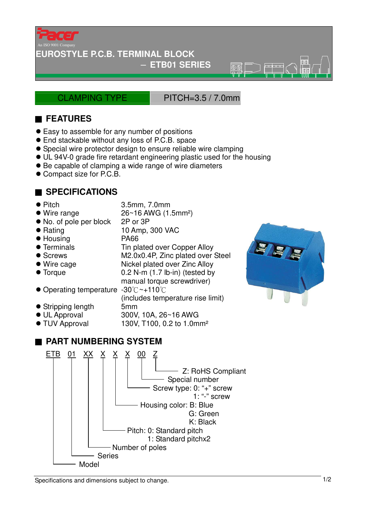

#### **EUROSTYLE P.C.B. TERMINAL BLOCK**

#### − **ETB01 SERIES**

CLAMPING TYPE PITCH=3.5 / 7.0mm

 $\overline{\circ}$ 

## ■ **FEATURES**

- Easy to assemble for any number of positions
- End stackable without any loss of P.C.B. space
- Special wire protector design to ensure reliable wire clamping
- UL 94V-0 grade fire retardant engineering plastic used for the housing
- Be capable of clamping a wide range of wire diameters
- Compact size for P.C.B.

### ■ **SPECIFICATIONS**

- 
- Pitch 3.5mm, 7.0mm

manual torque screwdriver)

(includes temperature rise limit)

- $\bullet$  Wire range  $26~16$  AWG (1.5mm<sup>2</sup>)
- No. of pole per block 2P or 3P
- Rating 10 Amp, 300 VAC
- Housing PA66
- Terminals Tin plated over Copper Alloy
- Screws M2.0x0.4P, Zinc plated over Steel
- Wire cage Nickel plated over Zinc Alloy
- Torque 0.2 N-m (1.7 lb-in) (tested by
- Operating temperature -30°C~+110°C
- Stripping length 5mm
- UL Approval 300V, 10A, 26~16 AWG
- TUV Approval 130V, T100, 0.2 to 1.0mm<sup>2</sup>

# ■ **PART NUMBERING SYSTEM**